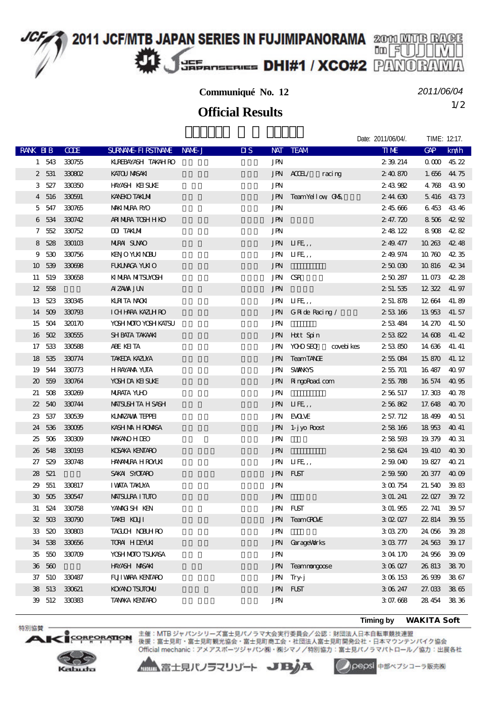## **2011 JCF/MTB JAPAN SERIES IN FUJIMIPANORAMA** 2001 MUTB RAGE JEF **E**ANSERIES **DHI#1 / XCO#2** PANO

**Communiqué No. 12**

1/2 **Official Results**

*2011/06/04*

Dato: 2011/06/04/. TIME: 12:17

|                             |        |             |                                     |                                    |                              | DUIG. ZU HOUDT. | $1111V1L$ , $12.11$    |
|-----------------------------|--------|-------------|-------------------------------------|------------------------------------|------------------------------|-----------------|------------------------|
| RANK BIB                    |        | <b>CODE</b> | <b>SURVANE FIRSTIVANE</b><br>NAME J | $\overline{\text{MS}}$             | NAT TEAM                     | <b>TIME</b>     | <b>GAP</b><br>km/h     |
|                             | 1 543  | 330755      | KUREBAYASH TAKAH RO                 | <b>JPN</b>                         |                              | 2 39 214        | 00004522               |
| $\mathbf{2}$                | 531    | 330802      | KATOU MASAKI                        | <b>JPN</b>                         | AGH<br>racing                | 240870          | 1.656 44 75            |
| 3                           | 527    | 330350      | <b>HAYASH KEISUKE</b>               | <b>JPN</b>                         |                              | 243982          | 4768<br>4390           |
| 4                           | 516    | 330591      | <b>KANEKO TAKLMI</b>                | <b>JPN</b>                         | TeamYellow CNS,              | 244630          | 4373<br>5416           |
| 5                           | 547    | 330765      | <b>MAKI NURA RYO</b>                | JPN                                |                              | 245666          | 6453 4346              |
| 6                           | 534    | 330742      | ARI NURA TOSH H KO                  | $\mathbf{J}\mathbf{P}\!\mathbf{N}$ |                              | 2 47.720        | 8 506 42 92            |
| 7                           | 552    | 330752      | DO TAKIMI                           | <b>JPN</b>                         |                              | 248122          | 8908 4282              |
| 8                           | 528    | 330103      | <b>NIRAI SUNO</b>                   |                                    | JPN LIFE,,                   | 249.477         | 10 263<br>42.48        |
| 9                           | 530    | 330756      | <b>KENO YUKI NOBU</b>               | JPN                                | IIFE,                        | 249.974         | 10760<br>4235          |
| 10                          | 539    | 330698      | FUALMACA YUNIO                      | <b>JPN</b>                         |                              | 25000           | 10 816<br>4234         |
| 11                          | 519    | 330658      | KI MIRA MITSUMSH                    | JPN                                | <b>CSR</b>                   | 250287          | 11.073<br>42.28        |
| 12 <sup>2</sup>             | 558    |             | AIZAWA JUN                          | <b>JPN</b>                         |                              | 2 51 535        | 12 322<br>41.97        |
| 13                          | 523    | 330345      | <b>KIRTA NOXI</b>                   | JPN                                | IIFE,                        | 2 51 878        | 12 664<br>41.89        |
|                             | 14 509 | 330793      | I CHHARA KAZLH RO                   | JPN                                | G Ride Racing /              | 253166          | 13953<br>41.57         |
| 15                          | 504    | 320170      | YOSH MOTO YOSH KATSU                | <b>JPN</b>                         |                              | 253484          | 14 270<br>41.50        |
| 16                          | 502    | 330555      | SH BATA TAKAAKI                     | JPN                                | Hott Spin                    | 253822          | 14 608<br>41.42        |
| 17                          | 533    | 330588      | ABE KEITA                           | JPN                                | <b>YOO SEO</b><br>covebi kes | 253850          | 14 636<br>41.41        |
| 18                          | 535    | 330774      | TAKEDA KAZUYA                       | <b>JPN</b>                         | <b>TeamTANCE</b>             | 255084          | 15 870<br>41, 12       |
| 19                          | 544    | 330773      | <b>HRAYANA YUTA</b>                 | <b>JPN</b>                         | <b>SVANKYS</b>               | 255701          | 16 487<br>40.97        |
| $\boldsymbol{\mathfrak{D}}$ | 559    | 330764      | YOSH DA KEISUKE                     | JPN                                | <b>RingoRoad</b> com         | 255788          | 16 574<br>40 95        |
| 21                          | 508    | 330269      | <b>NIRATA YU-D</b>                  | <b>JPN</b>                         |                              | 256517          | 17.303<br>4078         |
| $22\,$                      | 540    | 330744      | <b>MAISUSH TA H SASH</b>            | JPN                                | IIFE,                        | 256862          | 17.648<br>4070         |
| 23                          | 537    | 330539      | KLMZAWA TEPPEI                      | JPN                                | <b>EXOLVE</b>                | 2 57.712        | 18 49 9<br>40 51       |
| 24                          | 536    | 330095      | KASH NA HROMASA                     | <b>JPN</b>                         | 1-j yo Roost                 | 258 166         | 18953<br>40 41         |
| 25                          | 506    | 330309      | <b>NWANO HIEO</b>                   | JPN                                |                              | 258583          | 19 379<br>40 31        |
| 26                          | 548    | 330193      | KOSAKA KENTARO                      | $\mathbf{J}\mathbf{P}\!\mathbf{N}$ |                              | 258624          | 19 410<br><b>40 30</b> |
| 27                          | 529    | 330748      | <b>HAYANIRA HROYUN</b>              | JPN                                | IIFE,                        | 259040          | 19827<br>40 21         |
| 28                          | 521    |             | SAKAI SYCTARO                       | <b>JPN</b>                         | <b>FLST</b>                  | 259590          | 4009<br>20 377         |
| 29                          | 551    | 330817      | <b>I WATA TAKLYA</b>                | JPN                                |                              | 3 00 754        | 21.540<br>39.83        |
| 30                          | 505    | 330547      | <b>MATSURA I TUTO</b>               | <b>JPN</b>                         |                              | 3 01.241        | 39.72<br>22 Q27        |
|                             | 31 524 | 330758      | YAMACISH KEN                        |                                    | JPN FLST                     | 3 01.955        | 22, 741<br>39.57       |
|                             | 32 503 | 330790      | TAKEI KOUT                          |                                    | JPN TeamGROUE                | 3 02 027        | 22 814 39 55           |
|                             | 33 520 | 330803      | <b>TACLOH NDELHRO</b>               | <b>JPN</b>                         |                              | 303270          | 24 056<br>39.28        |
|                             | 34 538 | 330656      | <b>TORAL HIENUAL</b>                | <b>JPN</b>                         | GarageWorks                  | 303777          | 39.17<br>24 563        |
| 35                          | 550    | 330709      | YOSH MOTO TSUKASA                   | <b>JPN</b>                         |                              | 304170          | 24 956<br>39.09        |
|                             | 36 560 |             | HAYASH MASAKI                       | <b>JPN</b>                         | Teammongoose                 | 306027          | 3870<br>26813          |
| 37                          | 510    | 330487      | FUJI VARA KENTARO                   | JPN                                | Try-j                        | 306153          | 26 939<br>3867         |
|                             | 38 513 | 330621      | KOYANO TSUTONU                      | <b>JPN</b>                         | FLST                         | 3 06 247        | 3865<br>27.033         |
|                             | 39 512 | 330383      | <b>TANAKA KENTARO</b>               | JPN                                |                              | 307.668         | 28 454<br>3836         |
|                             |        |             |                                     |                                    |                              |                 |                        |

**Timing by** *WAKITA Soft*



**ORPORATION** 

特別協賛·

 $\mathbf{A}$ 

主催:MTB ジャパンシリーズ富士見パノラマ大会実行委員会/公認:財団法人日本自転車競技連盟<br>後援:富士見町・富士見町観光協会・富士見町商工会・社団法人富士見町開発公社・日本マウンテンパイク協会 Official mechanic: アメアスポーツジャパン(株)・株シマノ/特別協力:富士見パノラマパトロール/協力:出展各社

▲▲富士見パノラマリゾート JBJA